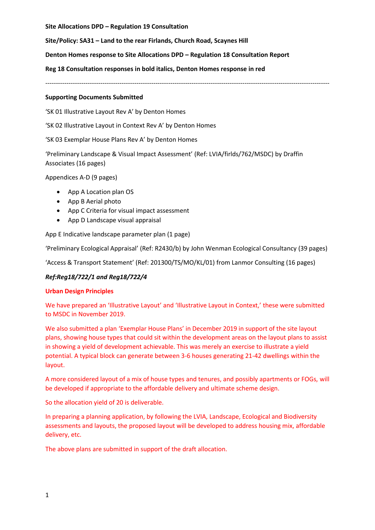**Site Allocations DPD – Regulation 19 Consultation**

**Site/Policy: SA31 – Land to the rear Firlands, Church Road, Scaynes Hill**

**Denton Homes response to Site Allocations DPD – Regulation 18 Consultation Report**

**Reg 18 Consultation responses in bold italics, Denton Homes response in red**

--------------------------------------------------------------------------------------------------------------------------------------

#### **Supporting Documents Submitted**

'SK 01 Illustrative Layout Rev A' by Denton Homes

'SK 02 Illustrative Layout in Context Rev A' by Denton Homes

'SK 03 Exemplar House Plans Rev A' by Denton Homes

'Preliminary Landscape & Visual Impact Assessment' (Ref: LVIA/firlds/762/MSDC) by Draffin Associates (16 pages)

Appendices A-D (9 pages)

- App A Location plan OS
- App B Aerial photo
- App C Criteria for visual impact assessment
- App D Landscape visual appraisal

App E Indicative landscape parameter plan (1 page)

'Preliminary Ecological Appraisal' (Ref: R2430/b) by John Wenman Ecological Consultancy (39 pages)

'Access & Transport Statement' (Ref: 201300/TS/MO/KL/01) from Lanmor Consulting (16 pages)

# *Ref:Reg18/722/1 and Reg18/722/4*

# **Urban Design Principles**

We have prepared an 'Illustrative Layout' and 'Illustrative Layout in Context,' these were submitted to MSDC in November 2019.

We also submitted a plan 'Exemplar House Plans' in December 2019 in support of the site layout plans, showing house types that could sit within the development areas on the layout plans to assist in showing a yield of development achievable. This was merely an exercise to illustrate a yield potential. A typical block can generate between 3-6 houses generating 21-42 dwellings within the layout.

A more considered layout of a mix of house types and tenures, and possibly apartments or FOGs, will be developed if appropriate to the affordable delivery and ultimate scheme design.

So the allocation yield of 20 is deliverable.

In preparing a planning application, by following the LVIA, Landscape, Ecological and Biodiversity assessments and layouts, the proposed layout will be developed to address housing mix, affordable delivery, etc.

The above plans are submitted in support of the draft allocation.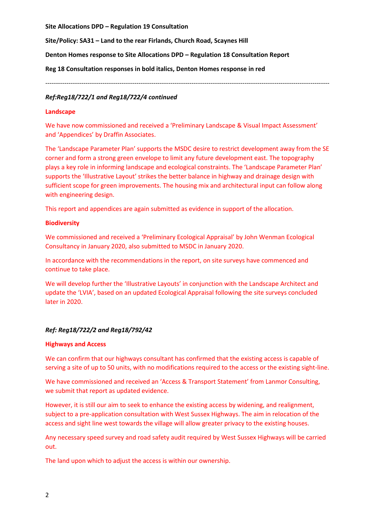**Site Allocations DPD – Regulation 19 Consultation**

**Site/Policy: SA31 – Land to the rear Firlands, Church Road, Scaynes Hill**

**Denton Homes response to Site Allocations DPD – Regulation 18 Consultation Report**

**Reg 18 Consultation responses in bold italics, Denton Homes response in red**

--------------------------------------------------------------------------------------------------------------------------------------

### *Ref:Reg18/722/1 and Reg18/722/4 continued*

#### **Landscape**

We have now commissioned and received a 'Preliminary Landscape & Visual Impact Assessment' and 'Appendices' by Draffin Associates.

The 'Landscape Parameter Plan' supports the MSDC desire to restrict development away from the SE corner and form a strong green envelope to limit any future development east. The topography plays a key role in informing landscape and ecological constraints. The 'Landscape Parameter Plan' supports the 'Illustrative Layout' strikes the better balance in highway and drainage design with sufficient scope for green improvements. The housing mix and architectural input can follow along with engineering design.

This report and appendices are again submitted as evidence in support of the allocation.

### **Biodiversity**

We commissioned and received a 'Preliminary Ecological Appraisal' by John Wenman Ecological Consultancy in January 2020, also submitted to MSDC in January 2020.

In accordance with the recommendations in the report, on site surveys have commenced and continue to take place.

We will develop further the 'Illustrative Layouts' in conjunction with the Landscape Architect and update the 'LVIA', based on an updated Ecological Appraisal following the site surveys concluded later in 2020.

# *Ref: Reg18/722/2 and Reg18/792/42*

#### **Highways and Access**

We can confirm that our highways consultant has confirmed that the existing access is capable of serving a site of up to 50 units, with no modifications required to the access or the existing sight-line.

We have commissioned and received an 'Access & Transport Statement' from Lanmor Consulting, we submit that report as updated evidence.

However, it is still our aim to seek to enhance the existing access by widening, and realignment, subject to a pre-application consultation with West Sussex Highways. The aim in relocation of the access and sight line west towards the village will allow greater privacy to the existing houses.

Any necessary speed survey and road safety audit required by West Sussex Highways will be carried out.

The land upon which to adjust the access is within our ownership.